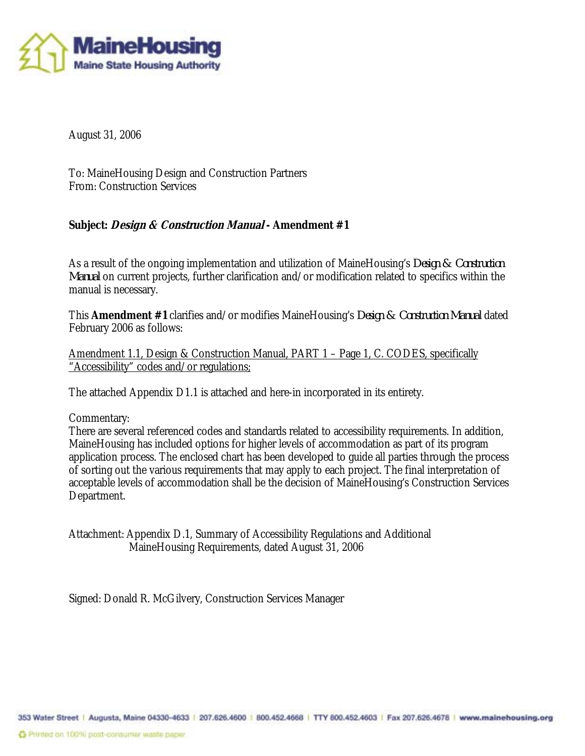

August 31, 2006

To: MaineHousing Design and Construction Partners From: Construction Services

### **Subject: Design & Construction Manual - Amendment #1**

As a result of the ongoing implementation and utilization of MaineHousing's *Design & Construction Manual* on current projects, further clarification and/or modification related to specifics within the manual is necessary.

This **Amendment #1** clarifies and/or modifies MaineHousing's *Design & Construction Manual* dated February 2006 as follows:

Amendment 1.1, Design & Construction Manual, PART 1 – Page 1, C. CODES, specifically "Accessibility" codes and/or regulations;

The attached Appendix D1.1 is attached and here-in incorporated in its entirety.

#### Commentary:

There are several referenced codes and standards related to accessibility requirements. In addition, MaineHousing has included options for higher levels of accommodation as part of its program application process. The enclosed chart has been developed to guide all parties through the process of sorting out the various requirements that may apply to each project. The final interpretation of acceptable levels of accommodation shall be the decision of MaineHousing's Construction Services Department.

Attachment: Appendix D.1, Summary of Accessibility Regulations and Additional MaineHousing Requirements, dated August 31, 2006

Signed: Donald R. McGilvery, Construction Services Manager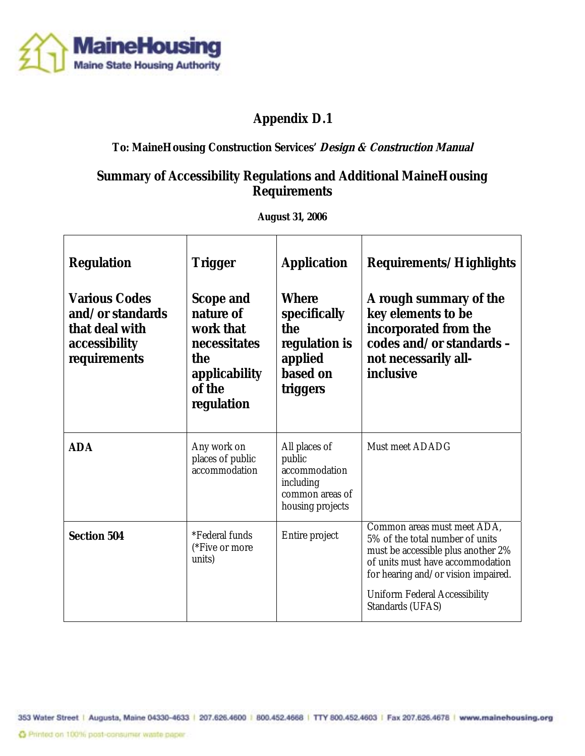

# **Appendix D.1**

## **To: MaineHousing Construction Services' Design & Construction Manual**

## **Summary of Accessibility Regulations and Additional MaineHousing Requirements**

**August 31, 2006** 

| <b>Regulation</b><br><b>Various Codes</b><br>and/or standards<br>that deal with<br>accessibility<br>requirements | <b>Trigger</b><br><b>Scope and</b><br>nature of<br>work that<br>necessitates<br>the<br><b>applicability</b><br>of the<br>regulation | <b>Application</b><br><b>Where</b><br>specifically<br>the<br>regulation is<br>applied<br>based on<br>triggers | <b>Requirements/Highlights</b><br>A rough summary of the<br>key elements to be<br>incorporated from the<br>codes and/or standards -<br>not necessarily all-<br>inclusive                                                                           |
|------------------------------------------------------------------------------------------------------------------|-------------------------------------------------------------------------------------------------------------------------------------|---------------------------------------------------------------------------------------------------------------|----------------------------------------------------------------------------------------------------------------------------------------------------------------------------------------------------------------------------------------------------|
| <b>ADA</b>                                                                                                       | Any work on<br>places of public<br>accommodation                                                                                    | All places of<br>public<br>accommodation<br>including<br>common areas of<br>housing projects                  | <b>Must meet ADADG</b>                                                                                                                                                                                                                             |
| <b>Section 504</b>                                                                                               | <i>*Federal funds</i><br>(*Five or more<br>units)                                                                                   | Entire project                                                                                                | Common areas must meet ADA,<br>5% of the total number of units<br>must be accessible plus another 2%<br>of units must have accommodation<br>for hearing and/or vision impaired.<br><b>Uniform Federal Accessibility</b><br><b>Standards (UFAS)</b> |

353 Water Street | Augusta, Maine 04330-4633 | 207.626.4600 | 800.452.4668 | TTY 800.452.4603 | Fax 207.626.4678 | www.mainehousing.org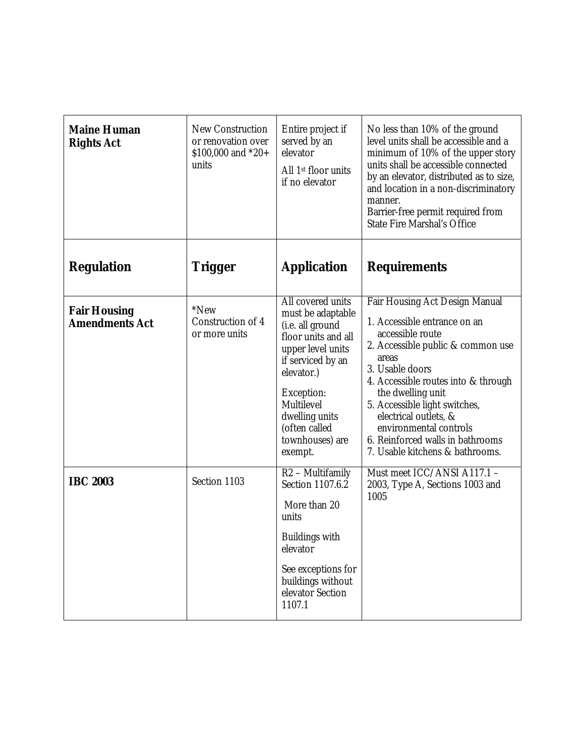| <b>Maine Human</b><br><b>Rights Act</b>      | <b>New Construction</b><br>or renovation over<br>\$100,000 and $*20+$<br>units | Entire project if<br>served by an<br>elevator<br>All 1 <sup>st</sup> floor units<br>if no elevator                                                                                                                                     | No less than 10% of the ground<br>level units shall be accessible and a<br>minimum of 10% of the upper story<br>units shall be accessible connected<br>by an elevator, distributed as to size,<br>and location in a non-discriminatory<br>manner.<br>Barrier-free permit required from<br><b>State Fire Marshal's Office</b>                                               |
|----------------------------------------------|--------------------------------------------------------------------------------|----------------------------------------------------------------------------------------------------------------------------------------------------------------------------------------------------------------------------------------|----------------------------------------------------------------------------------------------------------------------------------------------------------------------------------------------------------------------------------------------------------------------------------------------------------------------------------------------------------------------------|
| <b>Regulation</b>                            | Trigger                                                                        | <b>Application</b>                                                                                                                                                                                                                     | <b>Requirements</b>                                                                                                                                                                                                                                                                                                                                                        |
| <b>Fair Housing</b><br><b>Amendments Act</b> | *New<br>Construction of 4<br>or more units                                     | All covered units<br>must be adaptable<br>(i.e. all ground<br>floor units and all<br>upper level units<br>if serviced by an<br>elevator.)<br>Exception:<br>Multilevel<br>dwelling units<br>(often called<br>townhouses) are<br>exempt. | Fair Housing Act Design Manual<br>1. Accessible entrance on an<br>accessible route<br>2. Accessible public & common use<br>areas<br>3. Usable doors<br>4. Accessible routes into & through<br>the dwelling unit<br>5. Accessible light switches,<br>electrical outlets, &<br>environmental controls<br>6. Reinforced walls in bathrooms<br>7. Usable kitchens & bathrooms. |
| <b>IBC 2003</b>                              | Section 1103                                                                   | $R2 - Multifamily$<br><b>Section 1107.6.2</b><br>More than 20<br>units<br><b>Buildings with</b><br>elevator<br>See exceptions for<br>buildings without<br>elevator Section<br>1107.1                                                   | Must meet ICC/ANSI A117.1 -<br>2003, Type A, Sections 1003 and<br>1005                                                                                                                                                                                                                                                                                                     |